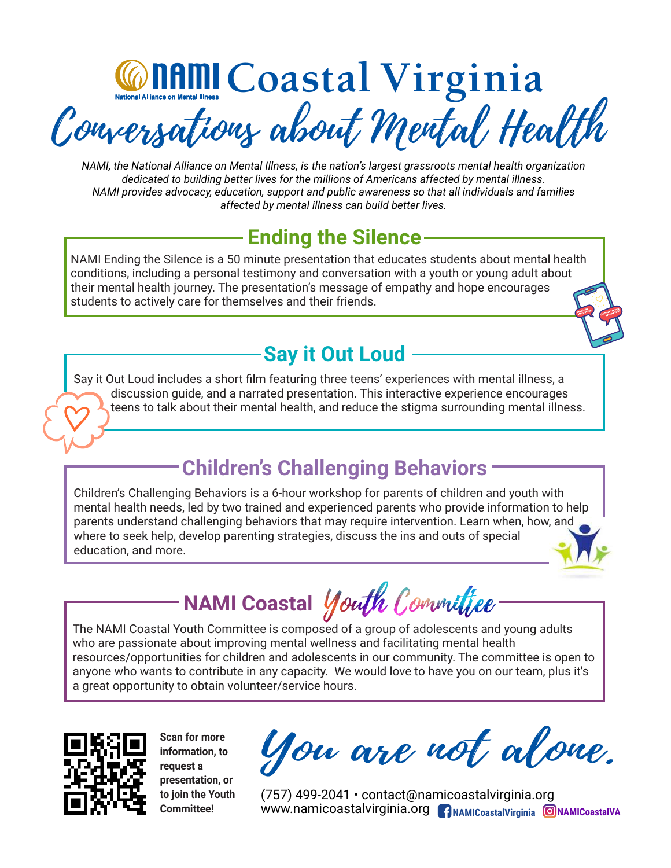Content Le Coastal Virginia Conversations about Mental Health

*NAMI, the National Alliance on Mental Illness, is the nation's largest grassroots mental health organization dedicated to building better lives for the millions of Americans affected by mental illness. NAMI provides advocacy, education, support and public awareness so that all individuals and families affected by mental illness can build better lives.*

# **Ending the Silence**

NAMI Ending the Silence is a 50 minute presentation that educates students about mental health conditions, including a personal testimony and conversation with a youth or young adult about their mental health journey. The presentation's message of empathy and hope encourages students to actively care for themselves and their friends.

# **Say it Out Loud**

Say it Out Loud includes a short film featuring three teens' experiences with mental illness, a discussion guide, and a narrated presentation. This interactive experience encourages teens to talk about their mental health, and reduce the stigma surrounding mental illness.

# **Children's Challenging Behaviors**

Children's Challenging Behaviors is a 6-hour workshop for parents of children and youth with mental health needs, led by two trained and experienced parents who provide information to help parents understand challenging behaviors that may require intervention. Learn when, how, and where to seek help, develop parenting strategies, discuss the ins and outs of special education, and more.

**NAMI Coastal**

The NAMI Coastal Youth Committee is composed of a group of adolescents and young adults who are passionate about improving mental wellness and facilitating mental health resources/opportunities for children and adolescents in our community. The committee is open to anyone who wants to contribute in any capacity. We would love to have you on our team, plus it's a great opportunity to obtain volunteer/service hours.



**Scan for more information, to request a presentation, or to join the Youth Committee!**

You are not alone.

 $(757)$  499-2041 · contact@namicoastalvirginia.org www.namicoastalvirginia.org <mark>(АрамисоазtаlVirginia © МАМICoastalVA</mark>